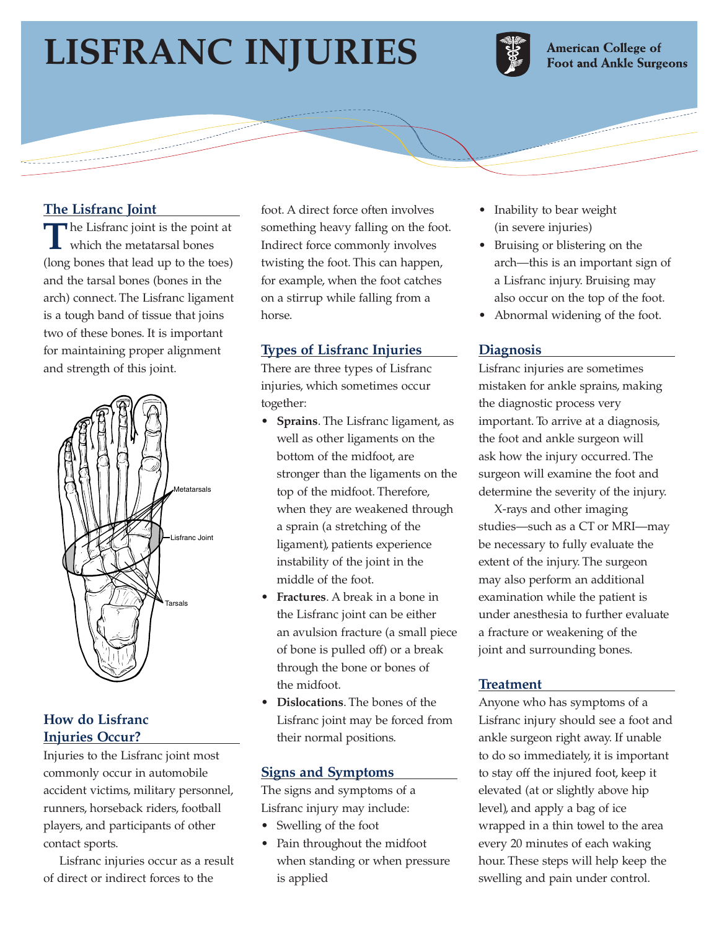# **LISFRANC INJURIES**

سيستب



**American College of Foot and Ankle Surgeons** 

### **The Lisfranc Joint**

**T**he Lisfranc joint is the point at which the metatarsal bones (long bones that lead up to the toes) and the tarsal bones (bones in the arch) connect. The Lisfranc ligament is a tough band of tissue that joins two of these bones. It is important for maintaining proper alignment and strength of this joint.



## **How do Lisfranc Injuries Occur?**

Injuries to the Lisfranc joint most commonly occur in automobile accident victims, military personnel, runners, horseback riders, football players, and participants of other contact sports.

Lisfranc injuries occur as a result of direct or indirect forces to the

foot. A direct force often involves something heavy falling on the foot. Indirect force commonly involves twisting the foot. This can happen, for example, when the foot catches on a stirrup while falling from a horse.

#### **Types of Lisfranc Injuries**

There are three types of Lisfranc injuries, which sometimes occur together:

- **Sprains**. The Lisfranc ligament, as well as other ligaments on the bottom of the midfoot, are stronger than the ligaments on the top of the midfoot. Therefore, when they are weakened through a sprain (a stretching of the ligament), patients experience instability of the joint in the middle of the foot.
- **Fractures**. A break in a bone in the Lisfranc joint can be either an avulsion fracture (a small piece of bone is pulled off) or a break through the bone or bones of the midfoot.
- **Dislocations**. The bones of the Lisfranc joint may be forced from their normal positions.

#### **Signs and Symptoms**

The signs and symptoms of a Lisfranc injury may include:

- Swelling of the foot
- Pain throughout the midfoot when standing or when pressure is applied
- Inability to bear weight (in severe injuries)
- Bruising or blistering on the arch—this is an important sign of a Lisfranc injury. Bruising may also occur on the top of the foot.
- Abnormal widening of the foot.

#### **Diagnosis**

Lisfranc injuries are sometimes mistaken for ankle sprains, making the diagnostic process very important. To arrive at a diagnosis, the foot and ankle surgeon will ask how the injury occurred. The surgeon will examine the foot and determine the severity of the injury.

X-rays and other imaging studies—such as a CT or MRI—may be necessary to fully evaluate the extent of the injury. The surgeon may also perform an additional examination while the patient is under anesthesia to further evaluate a fracture or weakening of the joint and surrounding bones.

#### **Treatment**

Anyone who has symptoms of a Lisfranc injury should see a foot and ankle surgeon right away. If unable to do so immediately, it is important to stay off the injured foot, keep it elevated (at or slightly above hip level), and apply a bag of ice wrapped in a thin towel to the area every 20 minutes of each waking hour. These steps will help keep the swelling and pain under control.